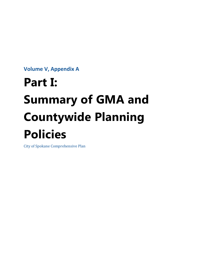**Volume V, Appendix A**

# **Part I: Summary of GMA and Countywide Planning Policies**

City of Spokane Comprehensive Plan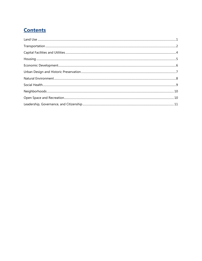# **Contents**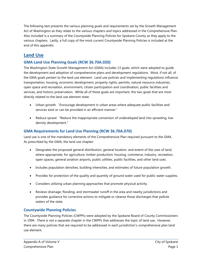The following text presents the various planning goals and requirements set by the Growth Management Act of Washington as they relate to the various chapters and topics addressed in the Comprehensive Plan. Also included is a summary of the Countywide Planning Policies for Spokane County as they apply to the various chapters. Lastly, a full copy of the most current Countywide Planning Policies is included at the end of this appendix.

## <span id="page-2-0"></span>**Land Use**

## **GMA Land Use Planning Goals (RCW 36.70A.020)**

The Washington State Growth Management Act (GMA) includes 13 goals, which were adopted to guide the development and adoption of comprehensive plans and development regulations. Most, if not all, of the GMA goals pertain to the land use element. Land use policies and implementing regulations influence transportation, housing, economic development, property rights, permits, natural resource industries, open space and recreation, environment, citizen participation and coordination, public facilities and services, and historic preservation. While all of these goals are important, the two goals that are most directly related to the land use element state:

- Urban growth. "Encourage development in urban areas where adequate public facilities and services exist or can be provided in an efficient manner."
- Reduce sprawl. "Reduce the inappropriate conversion of undeveloped land into sprawling, low density development."

## **GMA Requirements for Land Use Planning (RCW 36.70A.070)**

Land use is one of the mandatory elements of the Comprehensive Plan required pursuant to the GMA. As prescribed by the GMA, the land use chapter:

- Designates the proposed general distribution, general location, and extent of the uses of land, where appropriate, for agriculture, timber production, housing, commerce, industry, recreation, open spaces, general aviation airports, public utilities, public facilities, and other land uses.
- Includes population densities, building intensities, and estimates of future population growth.
- Provides for protection of the quality and quantity of ground water used for public water supplies.
- Considers utilizing urban planning approaches that promote physical activity.
- Reviews drainage, flooding, and stormwater runoff in the area and nearby jurisdictions and provides guidance for corrective actions to mitigate or cleanse those discharges that pollute waters of the state.

## **Countywide Planning Policies**

The Countywide Planning Policies (CWPPs) were adopted by the Spokane Board of County Commissioners in 1994. There is not a separate chapter in the CWPPs that addresses the topic of land use. However, there are many policies that are required to be addressed in each jurisdiction's comprehensive plan land use element.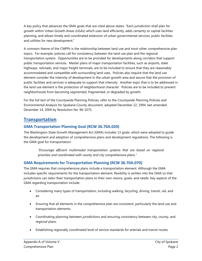A key policy that advances the GMA goals that are cited above states: "Each jurisdiction shall plan for growth within Urban Growth Areas (UGAs) which uses land efficiently, adds certainty to capital facilities planning, and allows timely and coordinated extension of urban governmental services, public facilities and utilities for new development."

A common theme of the CWPPs is the relationship between land use and most other comprehensive plan topics. For example, policies call for consistency between the land use plan and the regional transportation system. Opportunities are to be provided for developments along corridors that support public transportation services. Master plans of major transportation facilities, such as airports, state highways, railroads, and major freight terminals, are to be included to ensure that they are reasonably accommodated and compatible with surrounding land uses. Policies also require that the land use element consider the intensity of development in the urban growth area and assure that the provision of public facilities and services is adequate to support that intensity. Another topic that is to be addressed in the land use element is the protection of neighborhood character. Policies are to be included to prevent neighborhoods from becoming segmented, fragmented, or degraded by growth.

For the full text of the Countywide Planning Policies, refer to the Countywide Planning Policies and Environmental Analysis for Spokane County document, adopted December 22, 1994, last amended December 14, 2004 by Resolution No. 96-1075.

## <span id="page-3-0"></span>**Transportation**

## **GMA Transportation Planning Goal (RCW 36.70A.020)**

The Washington State Growth Management Act (GMA) includes 13 goals, which were adopted to guide the development and adoption of comprehensive plans and development regulations. The following is the GMA goal for transportation:

*"Encourage efficient multimodal transportation systems that are based on regional priorities and coordinated with county and city comprehensive plans."*

## **GMA Requirements for Transportation Planning (RCW 36.70A.070)**

The GMA requires that comprehensive plans include a transportation element. Although the GMA includes specific requirements for the transportation element, flexibility is written into the GMA so that jurisdictions can tailor their transportation plans to their own visions, goals, and needs. Key aspects of the GMA regarding transportation include:

- Considering many types of transportation, including walking, bicycling, driving, transit, rail, and air.
- Ensuring that all elements in the comprehensive plan are consistent, particularly the land use and transportation elements.
- Coordinating planning between jurisdictions and ensuring consistency between city, county, and regional plans.
- Establishing regionally coordinated level of service standards for arterials and transit routes.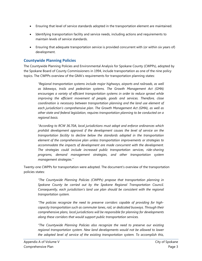- Ensuring that level of service standards adopted in the transportation element are maintained.
- Identifying transportation facility and service needs, including actions and requirements to maintain levels of service standards.
- Ensuring that adequate transportation service is provided concurrent with (or within six years of) development.

#### **Countywide Planning Policies**

The Countywide Planning Policies and Environmental Analysis for Spokane County (CWPPs), adopted by the Spokane Board of County Commissioners in 1994, include transportation as one of the nine policy topics. The CWPPs overview of the GMA's requirements for transportation planning states:

*"Regional transportation systems include major highways, airports and railroads, as well as bikeways, trails and pedestrian systems. The Growth Management Act (GMA) encourages a variety of efficient transportation systems in order to reduce sprawl while improving the efficient movement of people, goods and services. Therefore, close coordination is necessary between transportation planning and the land use element of each jurisdiction's comprehensive plan. The Growth Management Act (GMA), as well as other state and federal legislation, requires transportation planning to be conducted on a regional basis.*

*"According to RCW 36.70A, local jurisdictions must adopt and enforce ordinances which prohibit development approval if the development causes the level of service on the transportation facility to decline below the standards adopted in the transportation element of the comprehensive plan unless transportation improvements or strategies to accommodate the impacts of development are made concurrent with the development. The strategies could include increased public transportation services, ride-sharing programs, demand management strategies, and other transportation system management strategies."* 

Twenty-one CWPPs for transportation were adopted. The document's overview of the transportation policies states:

*"The Countywide Planning Policies (CWPPs) propose that transportation planning in Spokane County be carried out by the Spokane Regional Transportation Council. Consequently, each jurisdiction's land use plan should be consistent with the regional transportation system.* 

*"The policies recognize the need to preserve corridors capable of providing for highcapacity transportation such as commuter lanes, rail, or dedicated busways. Through their comprehensive plans, local jurisdictions will be responsible for planning for developments along these corridors that would support public transportation services.*

*"The Countywide Planning Policies also recognize the need to preserve our existing regional transportation system. New land developments would not be allowed to lower the adopted level of service of the existing transportation system. To accomplish this,*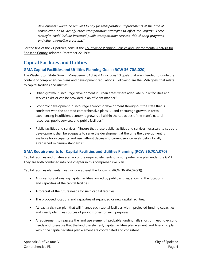*developments would be required to pay for transportation improvements at the time of construction or to identify other transportation strategies to offset the impacts. These strategies could include increased public transportation services, ride-sharing programs and other alternative programs."*

For the text of the 21 policies, consult the Countywide Planning Policies and Environmental Analysis for Spokane County, adopted December 22, 1994.

## <span id="page-5-0"></span>**Capital Facilities and Utilities**

## **GMA Capital Facilities and Utilities Planning Goals (RCW 36.70A.020)**

The Washington State Growth Management Act (GMA) includes 13 goals that are intended to guide the content of comprehensive plans and development regulations. Following are the GMA goals that relate to capital facilities and utilities:

- Urban growth. "Encourage development in urban areas where adequate public facilities and services exist or can be provided in an efficient manner."
- Economic development. "Encourage economic development throughout the state that is consistent with the adopted comprehensive plans . . . and encourage growth in areas experiencing insufficient economic growth, all within the capacities of the state's natural resources, public services, and public facilities."
- Public facilities and services. "Ensure that those public facilities and services necessary to support development shall be adequate to serve the development at the time the development is available for occupancy and use without decreasing current service levels below locally established minimum standards."

## **GMA Requirements for Capital Facilities and Utilities Planning (RCW 36.70A.070)**

Capital facilities and utilities are two of the required elements of a comprehensive plan under the GMA. They are both combined into one chapter in this comprehensive plan.

Capital facilities elements must include at least the following (RCW 36.70A.070(3)):

- An inventory of existing capital facilities owned by public entities, showing the locations and capacities of the capital facilities.
- A forecast of the future needs for such capital facilities.
- The proposed locations and capacities of expanded or new capital facilities.
- At least a six-year plan that will finance such capital facilities within projected funding capacities and clearly identifies sources of public money for such purposes.
- A requirement to reassess the land use element if probable funding falls short of meeting existing needs and to ensure that the land use element, capital facilities plan element, and financing plan within the capital facilities plan element are coordinated and consistent.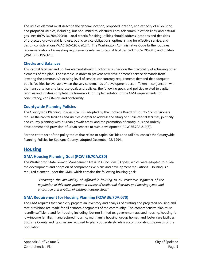The utilities element must describe the general location, proposed location, and capacity of all existing and proposed utilities, including, but not limited to, electrical lines, telecommunication lines, and natural gas lines (RCW 36.70A.070(4)). Local criteria for siting utilities should address locations and densities of projected growth and land use, public service obligations, optimal siting for effective service, and design considerations (WAC 365-195-320,2,f). The Washington Administrative Code further outlines recommendations for meeting requirements relative to capital facilities (WAC 365-195-315) and utilities (WAC 365-195-320).

#### **Checks and Balances**

This capital facilities and utilities element should function as a check on the practicality of achieving other elements of the plan. For example, in order to prevent new development's service demands from lowering the community's existing level of service, concurrency requirements demand that adequate public facilities be available when the service demands of development occur. Taken in conjunction with the transportation and land use goals and policies, the following goals and policies related to capital facilities and utilities complete the framework for implementation of the GMA requirements for concurrency, consistency, and conformity.

## **Countywide Planning Policies**

The Countywide Planning Policies (CWPPs) adopted by the Spokane Board of County Commissioners require the capital facilities and utilities chapter to address the siting of public capital facilities, joint city and county planning within urban growth areas, and the promotion of contiguous and orderly development and provision of urban services to such development (RCW 36.70A.210(3)).

For the entire text of the policy topics that relate to capital facilities and utilities, consult the Countywide Planning Policies for Spokane County, adopted December 22, 1994.

## <span id="page-6-0"></span>**Housing**

## **GMA Housing Planning Goal (RCW 36.70A.020)**

The Washington State Growth Management Act (GMA) includes 13 goals, which were adopted to guide the development and adoption of comprehensive plans and development regulations. Housing is a required element under the GMA, which contains the following housing goal:

*"Encourage the availability of affordable housing to all economic segments of the population of this state, promote a variety of residential densities and housing types, and encourage preservation of existing housing stock."*

## **GMA Requirement for Housing Planning (RCW 36.70A.070)**

The GMA requires that each city prepare an inventory and analysis of existing and projected housing and that provisions are made for all economic segments of the community. The comprehensive plan must identify sufficient land for housing including, but not limited to, government assisted housing, housing for low-income families, manufactured housing, multifamily housing, group homes, and foster care facilities. Spokane County and its cities are required to plan cooperatively while accommodating the needs of the population.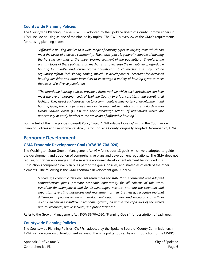#### **Countywide Planning Policies**

The Countywide Planning Policies (CWPPs), adopted by the Spokane Board of County Commissioners in 1994, include housing as one of the nine policy topics. The CWPPs overview of the GMA's requirements for housing planning states:

*"Affordable housing applies to a wide range of housing types at varying costs which can meet the needs of a diverse community. The marketplace is generally capable of meeting the housing demands of the upper income segment of the population. Therefore, the primary focus of these policies is on mechanisms to increase the availability of affordable housing for middle- and lower-income households. Such mechanisms may include regulatory reform, inclusionary zoning, mixed use developments, incentives for increased housing densities and other incentives to encourage a variety of housing types to meet the needs of a diverse population.*

*"The affordable housing policies provide a framework by which each jurisdiction can help meet the overall housing needs of Spokane County in a fair, consistent and coordinated fashion. They direct each jurisdiction to accommodate a wide variety of development and housing types; they call for consistency in development regulations and standards within Urban Growth Areas (UGAs) and they encourage reform of regulations which are unnecessary or costly barriers to the provision of affordable housing."*

For the text of the nine policies, consult Policy Topic 7, "Affordable Housing" within the Countywide Planning Policies and Environmental Analysis for Spokane County, originally adopted December 22, 1994.

## <span id="page-7-0"></span>**Economic Development**

## **GMA Economic Development Goal (RCW 36.70A.020)**

The Washington State Growth Management Act (GMA) includes 13 goals, which were adopted to guide the development and adoption of comprehensive plans and development regulations. The GMA does not require, but rather encourages, that a separate economic development element be included in a jurisdiction's comprehensive plan or as part of the goals, policies, and strategies of each of the other elements. The following is the GMA economic development goal (Goal 5):

*"Encourage economic development throughout the state that is consistent with adopted comprehensive plans, promote economic opportunity for all citizens of this state, especially for unemployed and for disadvantaged persons, promote the retention and expansion of existing businesses and recruitment of new businesses, recognize regional differences impacting economic development opportunities, and encourage growth in areas experiencing insufficient economic growth, all within the capacities of the state's natural resources, public services, and public facilities."*

Refer to the Growth Management Act, RCW 36.70A.020, "Planning Goals," for description of each goal.

#### **Countywide Planning Policies**

The Countywide Planning Policies (CWPPs), adopted by the Spokane Board of County Commissioners in 1994, include economic development as one of the nine policy topics. As an introduction to the CWPPS,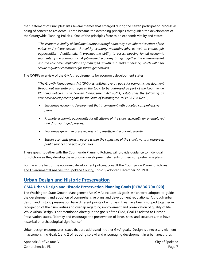the "Statement of Principles" lists several themes that emerged during the citizen participation process as being of concern to residents. These became the overriding principles that guided the development of the Countywide Planning Policies. One of the principles focuses on economic vitality and states:

*"The economic vitality of Spokane County is brought about by a collaborative effort of the public and private sectors. A healthy economy maintains jobs, as well as creates job opportunities. Additionally, it provides the ability to access housing for all economic segments of the community. A jobs-based economy brings together the environmental and the economic implications of managed growth and seeks a balance, which will help secure a quality community for future generations."*

The CWPPs overview of the GMA's requirements for economic development states:

*"The Growth Management Act (GMA) establishes overall goals for economic development throughout the state and requires the topic to be addressed as part of the Countywide Planning Policies. The Growth Management Act (GMA) establishes the following as economic development goals for the State of Washington. RCW.36.70A.020(5).* 

- *Encourage economic development that is consistent with adopted comprehensive plans.*
- *Promote economic opportunity for all citizens of the state, especially for unemployed and disadvantaged persons.*
- *Encourage growth in areas experiencing insufficient economic growth.*
- *Ensure economic growth occurs within the capacities of the state's natural resources, public services and public facilities.*

These goals, together with the Countywide Planning Policies, will provide guidance to individual jurisdictions as they develop the economic development elements of their comprehensive plans.

For the entire text of the economic development policies, consult the Countywide Planning Policies and Environmental Analysis for Spokane County, Topic 8, adopted December 22, 1994.

# <span id="page-8-0"></span>**Urban Design and Historic Preservation**

## **GMA Urban Design and Historic Preservation Planning Goals (RCW 36.70A.020)**

The Washington State Growth Management Act (GMA) includes 13 goals, which were adopted to guide the development and adoption of comprehensive plans and development regulations. Although urban design and historic preservation have different points of emphasis, they have been grouped together in recognition of their similarities and overlap regarding improvement and preservation of quality of life. While Urban Design is not mentioned directly in the goals of the GMA, Goal 13 related to Historic Preservation states, "Identify and encourage the preservation of lands, sites, and structures, that have historical or archaeological significance."

Urban design encompasses issues that are addressed in other GMA goals. Design is a necessary element in accomplishing Goals 1 and 2 of reducing sprawl and encouraging development in urban areas, thus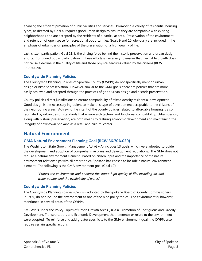enabling the efficient provision of public facilities and services. Promoting a variety of residential housing types, as directed by Goal 4, requires good urban design to ensure they are compatible with existing neighborhoods and are accepted by the residents of a particular area. Preservation of the environment and retention of open space for recreational opportunities, Goals 9 and 10, obviously are included in the emphasis of urban design principles of the preservation of a high quality of life.

Last, citizen participation, Goal 11, is the driving force behind the historic preservation and urban design efforts. Continued public participation in these efforts is necessary to ensure that inevitable growth does not cause a decline in the quality of life and those physical features valued by the citizens (RCW 36.70A.020).

## **Countywide Planning Policies**

The Countywide Planning Policies of Spokane County (CWPPs) do not specifically mention urban design or historic preservation. However, similar to the GMA goals, there are policies that are more easily achieved and accepted through the practices of good urban design and historic preservation.

County policies direct jurisdictions to ensure compatibility of mixed density residential development. Good design is the necessary ingredient to make this type of development acceptable to the citizens of the neighboring areas. Achieving the intent of the county policies related to affordable housing is also facilitated by urban design standards that ensure architectural and functional compatibility. Urban design, along with historic preservation, are both means to realizing economic development and maintaining the integrity of downtown Spokane as a retail and cultural center.

## <span id="page-9-0"></span>**Natural Environment**

## **GMA Natural Environment Planning Goal (RCW 36.70A.020)**

The Washington State Growth Management Act (GMA) includes 13 goals, which were adopted to guide the development and adoption of comprehensive plans and development regulations. The GMA does not require a natural environment element. Based on citizen input and the importance of the natural environment relationships with all other topics, Spokane has chosen to include a natural environment element. The following is the GMA environment goal (Goal 10):

*"Protect the environment and enhance the state's high quality of life, including air and water quality, and the availability of water."*

## **Countywide Planning Policies**

The Countywide Planning Policies (CWPPs), adopted by the Spokane Board of County Commissioners in 1994, do not include the environment as one of the nine policy topics. The environment is, however, mentioned in several areas of the CWPPs.

Six CWPPs under the Policy Topics of Urban Growth Areas (UGAs), Promotion of Contiguous and Orderly Development, Transportation, and Economic Development that reference or relate to the environment were adopted. To reinforce and add greater specificity to the GMA environment goal, the CWPPs also require certain specific actions.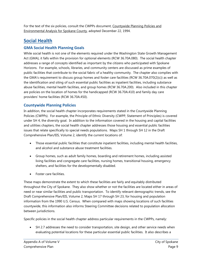For the text of the six policies, consult the CWPPs document, Countywide Planning Policies and Environmental Analysis for Spokane County, adopted December 22, 1994.

## <span id="page-10-0"></span>**Social Health**

## **GMA Social Health Planning Goals**

While social health is not one of the elements required under the Washington State Growth Management Act (GMA), it falls within the provision for optional elements (RCW 36.70A.080). The social health chapter addresses a range of concepts identified as important by the citizens who participated with Spokane Horizons. For example, schools, libraries, and community centers are discussed as prime examples of public facilities that contribute to the social fabric of a healthy community. The chapter also complies with the GMA's requirement to discuss group homes and foster care facilities (RCW 36.70A.070(2)(c)) as well as the identification and siting of such essential public facilities as inpatient facilities, including substance abuse facilities, mental health facilities, and group homes (RCW 36.70A.200). Also included in this chapter are policies on the location of homes for the handicapped (RCW 36.70A.410) and family day care providers' home facilities (RCW 36.70A.450).

## **Countywide Planning Policies**

In addition, the social health chapter incorporates requirements stated in the Countywide Planning Policies (CWPPs). For example, the Principle of Ethnic Diversity (CWPP, Statement of Principles) is covered under SH 4, the diversity goal. In addition to the information covered in the housing and capital facilities and utilities chapters, the social health chapter addresses those housing and essential public facilities issues that relate specifically to special needs populations. Maps SH 1 through SH 12 in the Draft Comprehensive Plan/EIS, Volume 2, identify the current locations of:

- Those essential public facilities that constitute inpatient facilities, including mental health facilities, and alcohol and substance abuse treatment facilities.
- Group homes, such as adult family homes, boarding and retirement homes, including assisted living facilities and congregate care facilities, nursing homes, transitional housing, emergency shelters, and facilities for the developmentally disabled.
- Foster care facilities.

These maps demonstrate the extent to which these facilities are fairly and equitably distributed throughout the City of Spokane. They also show whether or not the facilities are located either in areas of need or near similar facilities and public transportation. To identify relevant demographic trends, see the Draft Comprehensive Plan/EIS, Volume 2, Maps SH 17 through SH 23, for housing and population information from the 1990 U.S. Census. When compared with maps showing locations of such facilities countywide, this information also informs Steering Committee decisions related to population allocation between jurisdictions.

Specific policies in the social health chapter address particular requirements in the CWPPs, namely:

• SH 2.7 addresses the need to consider transportation, site design, and other service needs when evaluating potential locations for these particular essential public facilities. It also describes a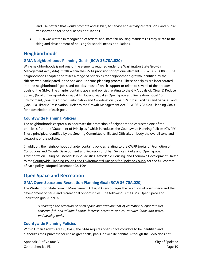land use pattern that would promote accessibility to service and activity centers, jobs, and public transportation for special needs populations.

• SH 2.8 was written in recognition of federal and state fair housing mandates as they relate to the siting and development of housing for special needs populations.

## <span id="page-11-0"></span>**Neighborhoods**

## **GMA Neighborhoods Planning Goals (RCW 36.70A.020)**

While neighborhoods is not one of the elements required under the Washington State Growth Management Act (GMA), it falls within the GMAs provision for optional elements (RCW 36.70A.080). The neighborhoods chapter addresses a range of principles for neighborhood growth identified by the citizens who participated in the Spokane Horizons planning process. These principles are incorporated into the neighborhoods' goals and policies, most of which support or relate to several of the broader goals of the GMA. The chapter contains goals and policies relating to the GMA goals of: (Goal 1) Reduce Sprawl, (Goal 3) Transportation, (Goal 4) Housing, (Goal 9) Open Space and Recreation, (Goal 10) Environment, (Goal 11) Citizen Participation and Coordination, (Goal 12) Public Facilities and Services, and (Goal 13) Historic Preservation. Refer to the Growth Management Act, RCW 36. 70A 020, Planning Goals, for a description of each goal.

## **Countywide Planning Policies**

The neighborhoods chapter also addresses the protection of neighborhood character, one of the principles from the "Statement of Principles," which introduces the Countywide Planning Policies (CWPPs). These principles, identified by the Steering Committee of Elected Officials, embody the overall tone and viewpoint of the policies.

In addition, the neighborhoods chapter contains policies relating to the CWPP topics of Promotion of Contiguous and Orderly Development and Provision of Urban Services, Parks and Open Space, Transportation, Siting of Essential Public Facilities, Affordable Housing, and Economic Development. Refer to the Countywide Planning Policies and Environmental Analysis for Spokane County for the full content of each policy, adopted December 22, 1994.

## <span id="page-11-1"></span>**Open Space and Recreation**

## **GMA Open Space and Recreation Planning Goal (RCW 36.70A.020)**

The Washington State Growth Management Act (GMA) encourages the retention of open space and the development of parks and recreational opportunities. The following is the GMA Open Space and Recreation goal (Goal 9):

*"Encourage the retention of open space and development of recreational opportunities, conserve fish and wildlife habitat, increase access to natural resource lands and water, and develop parks."*

## **Countywide Planning Policies**

Within Urban Growth Areas (UGAs), the GMA requires open space corridors to be identified and authorizes their purchase for use as greenbelts, parks, or wildlife habitat. Although the GMA does not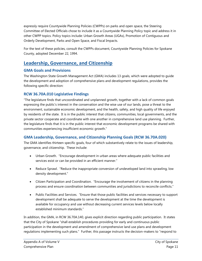expressly require Countywide Planning Policies (CWPPs) on parks and open space, the Steering Committee of Elected Officials chose to include it as a Countywide Planning Policy topic and address it in other CWPP topics. Policy topics include: Urban Growth Areas (UGAs), Promotion of Contiguous and Orderly Development, Parks and Open Space, and Fiscal Impacts.

For the text of these policies, consult the CWPPs document, Countywide Planning Policies for Spokane County, adopted December 22, 1994.

## <span id="page-12-0"></span>**Leadership, Governance, and Citizenship**

#### **GMA Goals and Provisions**

The Washington State Growth Management Act (GMA) includes 13 goals, which were adopted to guide the development and adoption of comprehensive plans and development regulations, provides the following specific direction:

## **RCW 36.70A.010 Legislative Findings**

"The legislature finds that uncoordinated and unplanned growth, together with a lack of common goals expressing the public's interest in the conservation and the wise use of our lands, pose a threat to the environment, sustainable economic development, and the health, safety, and high quality of life enjoyed by residents of the state. It is in the public interest that citizens, communities, local governments, and the private sector cooperate and coordinate with one another in comprehensive land use planning. Further, the legislature finds that it is in the public interest that economic development programs be shared with communities experiencing insufficient economic growth."

## **GMA Leadership, Governance, and Citizenship Planning Goals (RCW 36.70A.020)**

The GMA identifies thirteen specific goals, four of which substantively relate to the issues of leadership, governance, and citizenship. These include:

- Urban Growth. "Encourage development in urban areas where adequate public facilities and services exist or can be provided in an efficient manner."
- Reduce Sprawl. "Reduce the inappropriate conversion of undeveloped land into sprawling, low density development."
- Citizen Participation and Coordination. "Encourage the involvement of citizens in the planning process and ensure coordination between communities and jurisdictions to reconcile conflicts."
- Public Facilities and Services. "Ensure that those public facilities and services necessary to support development shall be adequate to serve the development at the time the development is available for occupancy and use without decreasing current services levels below locally established minimum standards."

In addition, the GMA, in RCW 36.70A.140, gives explicit direction regarding public participation. It states that the City of Spokane "shall establish procedures providing for early and continuous public participation in the development and amendment of comprehensive land use plans and development regulations implementing such plans." Further, this passage instructs the decision-makers to "respond to